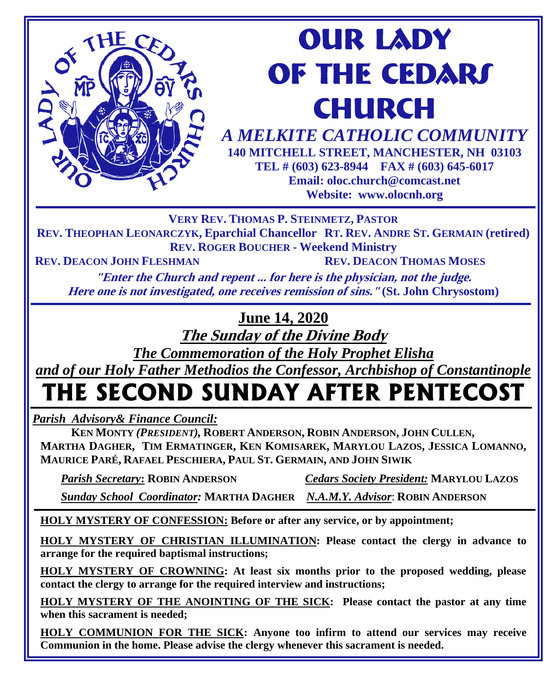# **our lady OF THE CEDARS CHURCH**

*A MELKITE CATHOLIC COMMUNITY*  **140 MITCHELL STREET, MANCHESTER, NH 03103 TEL # (603) 623-8944 FAX # (603) 645-6017 Email: oloc.church@comcast.net Website: www.olocnh.org**

**VERY REV. THOMAS P. STEINMETZ, PASTOR**

**REV. THEOPHAN LEONARCZYK, Eparchial Chancellor RT. REV. ANDRE ST. GERMAIN (retired) REV. ROGER BOUCHER - Weekend Ministry**

**REV. DEACON JOHN FLESHMAN REV. DEACON THOMAS MOSES**

THEC

MP

**"Enter the Church and repent ... for here is the physician, not the judge. Here one is not investigated, one receives remission of sins." (St. John Chrysostom)**

**June 14, 2020**

**The Sunday of the Divine Body**

*The Commemoration of the Holy Prophet Elisha*

*and of our Holy Father Methodios the Confessor, Archbishop of Constantinople*

# **THE SECOND SUNDAY AFTER PENTECOST**

*Parish Advisory& Finance Council:* 

 **KEN MONTY** *(PRESIDENT),* **ROBERT ANDERSON, ROBIN ANDERSON, JOHN CULLEN, MARTHA DAGHER, TIM ERMATINGER, KEN KOMISAREK, MARYLOU LAZOS, JESSICA LOMANNO, MAURICE PARÉ, RAFAEL PESCHIERA, PAUL ST. GERMAIN, AND JOHN SIWIK**

 *Parish Secretary***: ROBIN ANDERSON** *Cedars Society President:* **MARYLOU LAZOS**

 *Sunday School Coordinator:* **MARTHA DAGHER** *N.A.M.Y. Advisor*: **ROBIN ANDERSON**

**HOLY MYSTERY OF CONFESSION: Before or after any service, or by appointment;**

**HOLY MYSTERY OF CHRISTIAN ILLUMINATION: Please contact the clergy in advance to arrange for the required baptismal instructions;**

**HOLY MYSTERY OF CROWNING: At least six months prior to the proposed wedding, please contact the clergy to arrange for the required interview and instructions;**

**HOLY MYSTERY OF THE ANOINTING OF THE SICK: Please contact the pastor at any time when this sacrament is needed;**

**HOLY COMMUNION FOR THE SICK: Anyone too infirm to attend our services may receive Communion in the home. Please advise the clergy whenever this sacrament is needed.**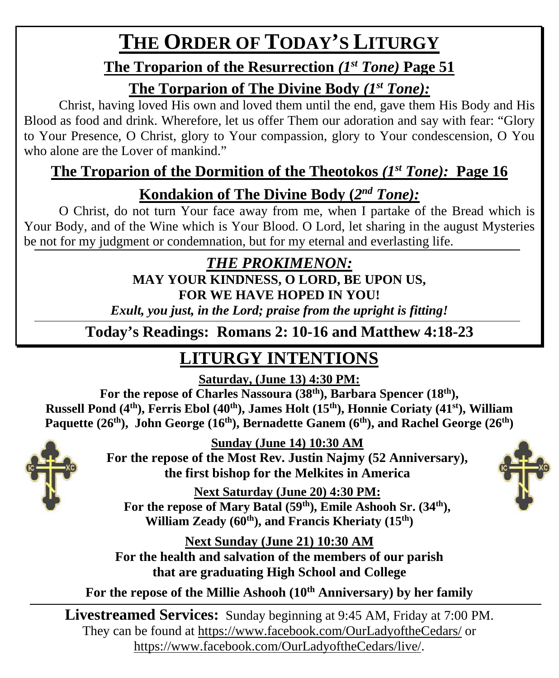# **THE ORDER OF TODAY'S LITURGY**

### **The Troparion of the Resurrection** *(1st Tone)* **Page 51**

### **The Torparion of The Divine Body** *(1st Tone):*

Christ, having loved His own and loved them until the end, gave them His Body and His Blood as food and drink. Wherefore, let us offer Them our adoration and say with fear: "Glory to Your Presence, O Christ, glory to Your compassion, glory to Your condescension, O You who alone are the Lover of mankind."

## **The Troparion of the Dormition of the Theotokos** *(1st Tone):* **Page 16**

### **Kondakion of The Divine Body (***2nd Tone):*

O Christ, do not turn Your face away from me, when I partake of the Bread which is Your Body, and of the Wine which is Your Blood. O Lord, let sharing in the august Mysteries be not for my judgment or condemnation, but for my eternal and everlasting life.

### *THE PROKIMENON:* **MAY YOUR KINDNESS, O LORD, BE UPON US, FOR WE HAVE HOPED IN YOU!**

*Exult, you just, in the Lord; praise from the upright is fitting!*

**Today's Readings: Romans 2: 10-16 and Matthew 4:18-23**

# **LITURGY INTENTIONS**

**Saturday, (June 13) 4:30 PM:**

**For the repose of Charles Nassoura (38th), Barbara Spencer (18th),**  Russell Pond (4<sup>th</sup>), Ferris Ebol (40<sup>th</sup>), James Holt (15<sup>th</sup>), Honnie Coriaty (41<sup>st</sup>), William Paquette (26<sup>th</sup>), John George (16<sup>th</sup>), Bernadette Ganem (6<sup>th</sup>), and Rachel George (26<sup>th</sup>)



**Sunday (June 14) 10:30 AM**

**For the repose of the Most Rev. Justin Najmy (52 Anniversary), the first bishop for the Melkites in America**

**Next Saturday (June 20) 4:30 PM:** For the repose of Mary Batal (59<sup>th</sup>), Emile Ashooh Sr. (34<sup>th</sup>), William Zeady (60<sup>th</sup>), and Francis Kheriaty (15<sup>th</sup>)

**Next Sunday (June 21) 10:30 AM For the health and salvation of the members of our parish that are graduating High School and College**

For the repose of the Millie Ashooh (10<sup>th</sup> Anniversary) by her family

**Livestreamed Services:** Sunday beginning at 9:45 AM, Friday at 7:00 PM. They can be found at<https://www.facebook.com/OurLadyoftheCedars/> or [https://www.facebook.com/OurLadyoftheCedars/live/.](https://www.facebook.com/OurLadyoftheCedars/live/)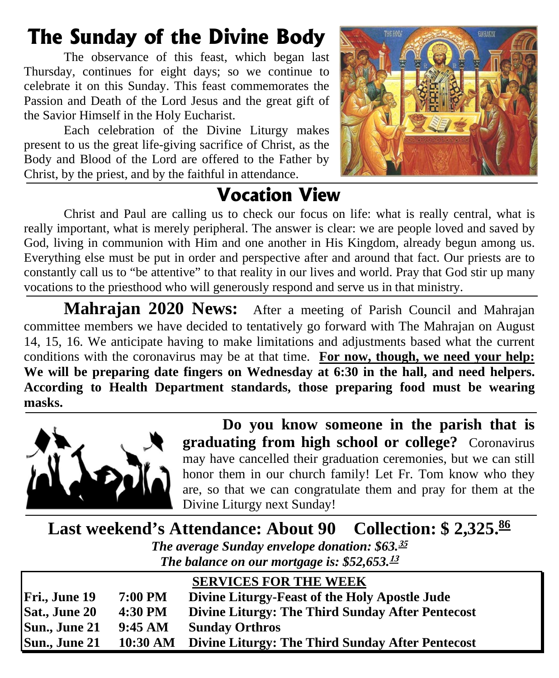# **The Sunday of the Divine Body**

The observance of this feast, which began last Thursday, continues for eight days; so we continue to celebrate it on this Sunday. This feast commemorates the Passion and Death of the Lord Jesus and the great gift of the Savior Himself in the Holy Eucharist.

Each celebration of the Divine Liturgy makes present to us the great life-giving sacrifice of Christ, as the Body and Blood of the Lord are offered to the Father by Christ, by the priest, and by the faithful in attendance.



# **Vocation View**

Christ and Paul are calling us to check our focus on life: what is really central, what is really important, what is merely peripheral. The answer is clear: we are people loved and saved by God, living in communion with Him and one another in His Kingdom, already begun among us. Everything else must be put in order and perspective after and around that fact. Our priests are to constantly call us to "be attentive" to that reality in our lives and world. Pray that God stir up many vocations to the priesthood who will generously respond and serve us in that ministry.

**Mahrajan 2020 News:** After a meeting of Parish Council and Mahrajan committee members we have decided to tentatively go forward with The Mahrajan on August 14, 15, 16. We anticipate having to make limitations and adjustments based what the current conditions with the coronavirus may be at that time. **For now, though, we need your help: We will be preparing date fingers on Wednesday at 6:30 in the hall, and need helpers. According to Health Department standards, those preparing food must be wearing masks.**



**Do you know someone in the parish that is graduating from high school or college?** Coronavirus may have cancelled their graduation ceremonies, but we can still honor them in our church family! Let Fr. Tom know who they are, so that we can congratulate them and pray for them at the Divine Liturgy next Sunday!

**Last weekend's Attendance: About 90 Collection: \$2,325.86** *The average Sunday envelope donation: \$63.* **35** *The balance on our mortgage is: \$52,653.* **13**

|               |          | <b>SERVICES FOR THE WEEK</b>                     |
|---------------|----------|--------------------------------------------------|
| Fri., June 19 | 7:00 PM  | Divine Liturgy-Feast of the Holy Apostle Jude    |
| Sat., June 20 | 4:30 PM  | Divine Liturgy: The Third Sunday After Pentecost |
| Sun., June 21 | 9:45 AM  | <b>Sunday Orthros</b>                            |
| Sun., June 21 | 10:30 AM | Divine Liturgy: The Third Sunday After Pentecost |
|               |          |                                                  |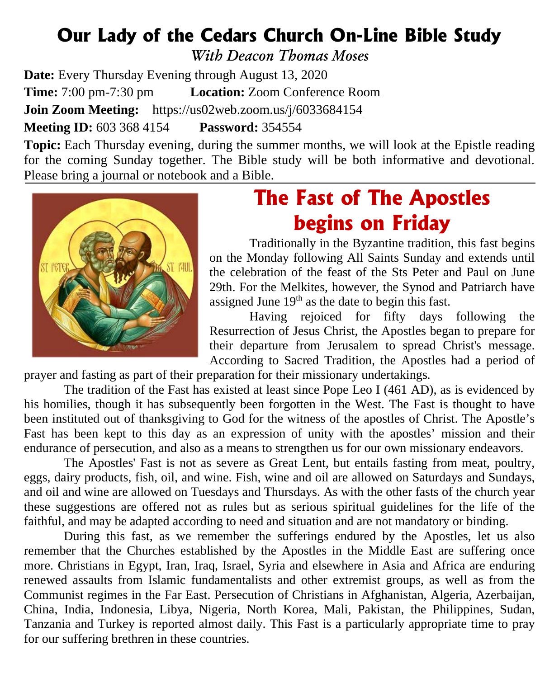## **Our Lady of the Cedars Church On-Line Bible Study**

*With Deacon Thomas Moses*

**Date:** Every Thursday Evening through August 13, 2020 **Time:** 7:00 pm-7:30 pm **Location:** Zoom Conference Room **Join Zoom Meeting:** <https://us02web.zoom.us/j/6033684154> **Meeting ID:** 603 368 4154 **Password:** 354554

**Topic:** Each Thursday evening, during the summer months, we will look at the Epistle reading for the coming Sunday together. The Bible study will be both informative and devotional. Please bring a journal or notebook and a Bible.



# **The Fast of The Apostles begins on Friday**

 Traditionally in the Byzantine tradition, this fast begins on the Monday following All Saints Sunday and extends until the celebration of the feast of the Sts Peter and Paul on June 29th. For the Melkites, however, the Synod and Patriarch have assigned June  $19<sup>th</sup>$  as the date to begin this fast.

Having rejoiced for fifty days following the [Resurrection of Jesus Christ,](http://en.wikipedia.org/wiki/Resurrection_of_Jesus_Christ) the [Apostles](http://en.wikipedia.org/wiki/The_Twelve_Apostles/Disciples) began to prepare for their departure from [Jerusalem](http://en.wikipedia.org/wiki/Early_centers_of_Christianity#Jerusalem) to spread Christ's message. According to [Sacred Tradition,](http://en.wikipedia.org/wiki/Sacred_Tradition) the Apostles had a period of

prayer and fasting as part of their preparation for their [missionary](http://en.wikipedia.org/wiki/Missionary) undertakings.

The tradition of the Fast has existed at least since [Pope Leo I](http://en.wikipedia.org/wiki/Pope_Leo_I) (461 AD), as is evidenced by his homilies, though it has subsequently been forgotten in the West. The Fast is thought to have been instituted out of thanksgiving to God for the witness of the apostles of Christ. The Apostle's Fast has been kept to this day as an expression of unity with the apostles' mission and their endurance of persecution, and also as a means to strengthen us for our own missionary endeavors.

The Apostles' Fast is not as severe as [Great Lent,](http://en.wikipedia.org/wiki/Great_Lent) but entails [fasting](http://en.wikipedia.org/wiki/Eastern_Orthodoxy#Fasting) from [meat,](http://en.wikipedia.org/wiki/Red_meat) [poultry,](http://en.wikipedia.org/wiki/Poultry) eggs, [dairy products,](http://en.wikipedia.org/wiki/Dairy) fish, oil, and wine. Fish, wine and oil are allowed on Saturdays and Sundays, and oil and wine are allowed on Tuesdays and Thursdays. As with the other fasts of the church year these suggestions are offered not as rules but as serious spiritual guidelines for the life of the faithful, and may be adapted according to need and situation and are not mandatory or binding.

During this fast, as we remember the sufferings endured by the Apostles, let us also remember that the Churches established by the Apostles in the Middle East are suffering once more. Christians in Egypt, Iran, Iraq, Israel, Syria and elsewhere in Asia and Africa are enduring renewed assaults from Islamic fundamentalists and other extremist groups, as well as from the Communist regimes in the Far East. Persecution of Christians in Afghanistan, Algeria, Azerbaijan, China, India, Indonesia, Libya, Nigeria, North Korea, Mali, Pakistan, the Philippines, Sudan, Tanzania and Turkey is reported almost daily. This Fast is a particularly appropriate time to pray for our suffering brethren in these countries.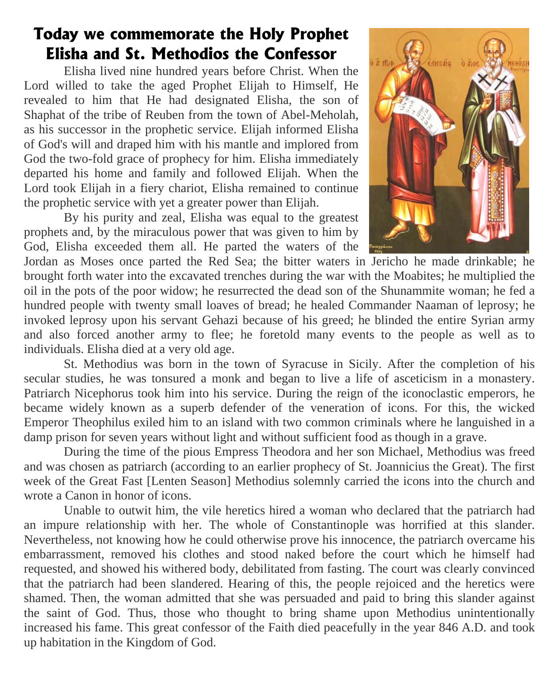### **Today we commemorate the Holy Prophet Elisha and St. Methodios the Confessor**

Elisha lived nine hundred years before Christ. When the Lord willed to take the aged Prophet Elijah to Himself, He revealed to him that He had designated Elisha, the son of Shaphat of the tribe of Reuben from the town of Abel-Meholah, as his successor in the prophetic service. Elijah informed Elisha of God's will and draped him with his mantle and implored from God the two-fold grace of prophecy for him. Elisha immediately departed his home and family and followed Elijah. When the Lord took Elijah in a fiery chariot, Elisha remained to continue the prophetic service with yet a greater power than Elijah.

By his purity and zeal, Elisha was equal to the greatest prophets and, by the miraculous power that was given to him by God, Elisha exceeded them all. He parted the waters of the



Jordan as Moses once parted the Red Sea; the bitter waters in Jericho he made drinkable; he brought forth water into the excavated trenches during the war with the Moabites; he multiplied the oil in the pots of the poor widow; he resurrected the dead son of the Shunammite woman; he fed a hundred people with twenty small loaves of bread; he healed Commander Naaman of leprosy; he invoked leprosy upon his servant Gehazi because of his greed; he blinded the entire Syrian army and also forced another army to flee; he foretold many events to the people as well as to individuals. Elisha died at a very old age.

St. Methodius was born in the town of Syracuse in Sicily. After the completion of his secular studies, he was tonsured a monk and began to live a life of asceticism in a monastery. Patriarch Nicephorus took him into his service. During the reign of the iconoclastic emperors, he became widely known as a superb defender of the veneration of icons. For this, the wicked Emperor Theophilus exiled him to an island with two common criminals where he languished in a damp prison for seven years without light and without sufficient food as though in a grave.

During the time of the pious Empress Theodora and her son Michael, Methodius was freed and was chosen as patriarch (according to an earlier prophecy of St. Joannicius the Great). The first week of the Great Fast [Lenten Season] Methodius solemnly carried the icons into the church and wrote a Canon in honor of icons.

Unable to outwit him, the vile heretics hired a woman who declared that the patriarch had an impure relationship with her. The whole of Constantinople was horrified at this slander. Nevertheless, not knowing how he could otherwise prove his innocence, the patriarch overcame his embarrassment, removed his clothes and stood naked before the court which he himself had requested, and showed his withered body, debilitated from fasting. The court was clearly convinced that the patriarch had been slandered. Hearing of this, the people rejoiced and the heretics were shamed. Then, the woman admitted that she was persuaded and paid to bring this slander against the saint of God. Thus, those who thought to bring shame upon Methodius unintentionally increased his fame. This great confessor of the Faith died peacefully in the year 846 A.D. and took up habitation in the Kingdom of God.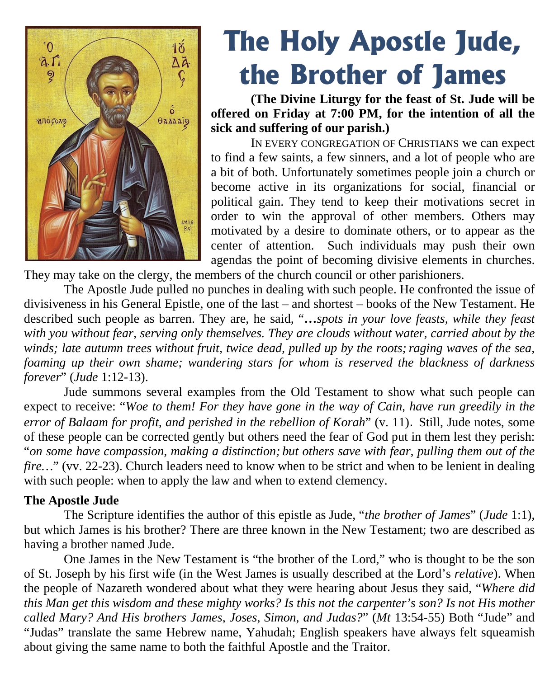

# **The Holy Apostle Jude, the Brother of James**

**(The Divine Liturgy for the feast of St. Jude will be offered on Friday at 7:00 PM, for the intention of all the sick and suffering of our parish.)**

IN EVERY CONGREGATION OF CHRISTIANS we can expect to find a few saints, a few sinners, and a lot of people who are a bit of both. Unfortunately sometimes people join a church or become active in its organizations for social, financial or political gain. They tend to keep their motivations secret in order to win the approval of other members. Others may motivated by a desire to dominate others, or to appear as the center of attention. Such individuals may push their own agendas the point of becoming divisive elements in churches.

They may take on the clergy, the members of the church council or other parishioners.

The Apostle Jude pulled no punches in dealing with such people. He confronted the issue of divisiveness in his General Epistle, one of the last – and shortest – books of the New Testament. He described such people as barren. They are, he said, "**…***spots in your love feasts, while they feast with you without fear, serving only themselves. They are clouds without water, carried about by the winds; late autumn trees without fruit, twice dead, pulled up by the roots; raging waves of the sea, foaming up their own shame; wandering stars for whom is reserved the blackness of darkness forever*" (*Jude* 1:12-13).

Jude summons several examples from the Old Testament to show what such people can expect to receive: "*Woe to them! For they have gone in the way of Cain, have run greedily in the error of Balaam for profit, and perished in the rebellion of Korah*" (v. 11). Still, Jude notes, some of these people can be corrected gently but others need the fear of God put in them lest they perish: "*on some have compassion, making a distinction; but others save with fear, pulling them out of the fire...*" (vv. 22-23). Church leaders need to know when to be strict and when to be lenient in dealing with such people: when to apply the law and when to extend clemency.

#### **The Apostle Jude**

The Scripture identifies the author of this epistle as Jude, "*the brother of James*" (*Jude* 1:1), but which James is his brother? There are three known in the New Testament; two are described as having a brother named Jude.

One James in the New Testament is "the brother of the Lord," who is thought to be the son of St. Joseph by his first wife (in the West James is usually described at the Lord's *relative*). When the people of Nazareth wondered about what they were hearing about Jesus they said, "*Where did this Man get this wisdom and these mighty works? Is this not the carpenter's son? Is not His mother called Mary? And His brothers James, Joses, Simon, and Judas?*" (*Mt* 13:54-55) Both "Jude" and "Judas" translate the same Hebrew name, Yahudah; English speakers have always felt squeamish about giving the same name to both the faithful Apostle and the Traitor.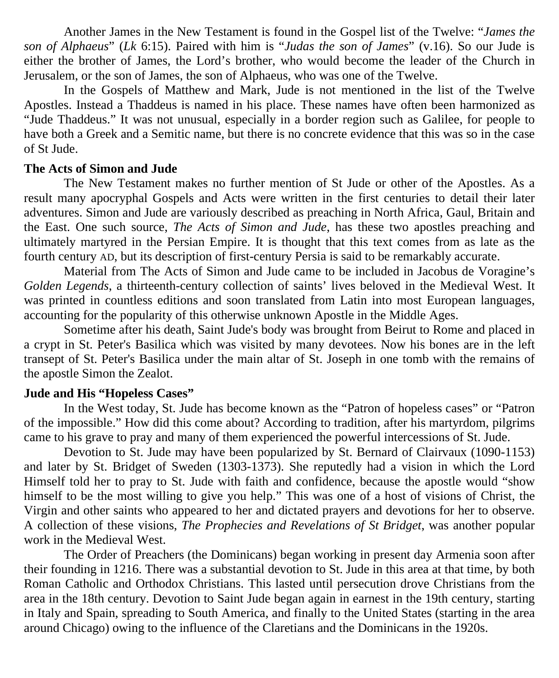Another James in the New Testament is found in the Gospel list of the Twelve: "*James the son of Alphaeus*" (*Lk* 6:15). Paired with him is "*Judas the son of James*" (v.16). So our Jude is either the brother of James, the Lord's brother, who would become the leader of the Church in Jerusalem, or the son of James, the son of Alphaeus, who was one of the Twelve.

In the Gospels of Matthew and Mark, Jude is not mentioned in the list of the Twelve Apostles. Instead a Thaddeus is named in his place. These names have often been harmonized as "Jude Thaddeus." It was not unusual, especially in a border region such as Galilee, for people to have both a Greek and a Semitic name, but there is no concrete evidence that this was so in the case of St Jude.

#### **The Acts of Simon and Jude**

The New Testament makes no further mention of St Jude or other of the Apostles. As a result many apocryphal Gospels and Acts were written in the first centuries to detail their later adventures. Simon and Jude are variously described as preaching in North Africa, Gaul, Britain and the East. One such source, *The Acts of Simon and Jude*, has these two apostles preaching and ultimately martyred in the Persian Empire. It is thought that this text comes from as late as the fourth century AD, but its description of first-century Persia is said to be remarkably accurate.

Material from The Acts of Simon and Jude came to be included in Jacobus de Voragine's *Golden Legends*, a thirteenth-century collection of saints' lives beloved in the Medieval West. It was printed in countless editions and soon translated from Latin into most European languages, accounting for the popularity of this otherwise unknown Apostle in the Middle Ages.

Sometime after his death, Saint Jude's body was brought from Beirut to Rome and placed in a crypt in St. Peter's Basilica which was visited by many devotees. Now his bones are in the left transept of St. Peter's Basilica under the main altar of St. Joseph in one tomb with the remains of the apostle Simon the Zealot.

#### **Jude and His "Hopeless Cases"**

In the West today, St. Jude has become known as the "Patron of hopeless cases" or "Patron of the impossible." How did this come about? According to tradition, after his martyrdom, pilgrims came to his grave to pray and many of them experienced the powerful intercessions of St. Jude.

Devotion to St. Jude may have been popularized by St. Bernard of Clairvaux (1090-1153) and later by St. Bridget of Sweden (1303-1373). She reputedly had a vision in which the Lord Himself told her to pray to St. Jude with faith and confidence, because the apostle would "show himself to be the most willing to give you help." This was one of a host of visions of Christ, the Virgin and other saints who appeared to her and dictated prayers and devotions for her to observe. A collection of these visions, *The Prophecies and Revelations of St Bridget*, was another popular work in the Medieval West.

The Order of Preachers (the Dominicans) began working in present day Armenia soon after their founding in 1216. There was a substantial devotion to St. Jude in this area at that time, by both Roman Catholic and Orthodox Christians. This lasted until persecution drove Christians from the area in the 18th century. Devotion to Saint Jude began again in earnest in the 19th century, starting in Italy and Spain, spreading to South America, and finally to the United States (starting in the area around Chicago) owing to the influence of the [Claretians](https://en.wikipedia.org/wiki/Claretians) and the Dominicans in the 1920s.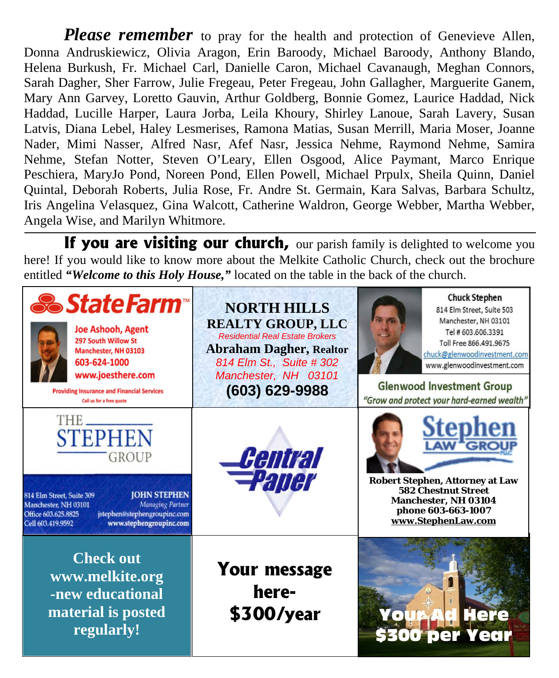*Please remember* to pray for the health and protection of Genevieve Allen, Donna Andruskiewicz, Olivia Aragon, Erin Baroody, Michael Baroody, Anthony Blando, Helena Burkush, Fr. Michael Carl, Danielle Caron, Michael Cavanaugh, Meghan Connors, Sarah Dagher, Sher Farrow, Julie Fregeau, Peter Fregeau, John Gallagher, Marguerite Ganem, Mary Ann Garvey, Loretto Gauvin, Arthur Goldberg, Bonnie Gomez, Laurice Haddad, Nick Haddad, Lucille Harper, Laura Jorba, Leila Khoury, Shirley Lanoue, Sarah Lavery, Susan Latvis, Diana Lebel, Haley Lesmerises, Ramona Matias, Susan Merrill, Maria Moser, Joanne Nader, Mimi Nasser, Alfred Nasr, Afef Nasr, Jessica Nehme, Raymond Nehme, Samira Nehme, Stefan Notter, Steven O'Leary, Ellen Osgood, Alice Paymant, Marco Enrique Peschiera, MaryJo Pond, Noreen Pond, Ellen Powell, Michael Prpulx, Sheila Quinn, Daniel Quintal, Deborah Roberts, Julia Rose, Fr. Andre St. Germain, Kara Salvas, Barbara Schultz, Iris Angelina Velasquez, Gina Walcott, Catherine Waldron, George Webber, Martha Webber, Angela Wise, and Marilyn Whitmore.

**If you are visiting our church,** our parish family is delighted to welcome you here! If you would like to know more about the Melkite Catholic Church, check out the brochure entitled *"Welcome to this Holy House,"* located on the table in the back of the church.

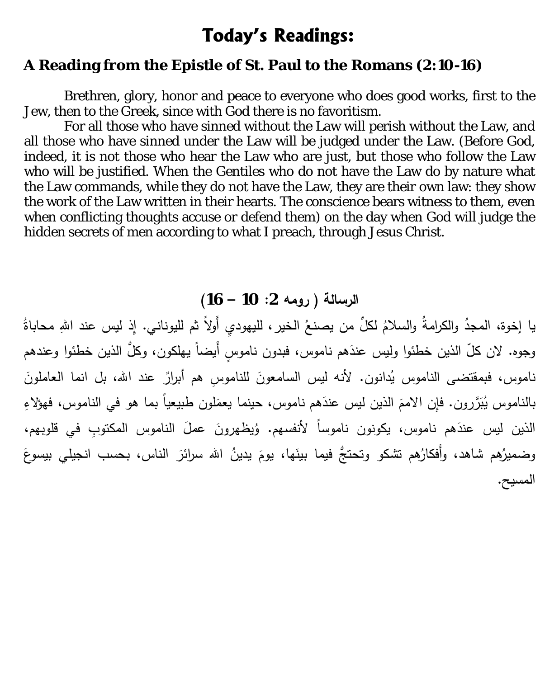### **Today's Readings:**

#### **A Reading from the Epistle of St. Paul to the Romans (2:10-16)**

 Brethren, glory, honor and peace to everyone who does good works, first to the Jew, then to the Greek, since with God there is no favoritism.

For all those who have sinned without the Law will perish without the Law, and all those who have sinned under the Law will be judged under the Law. (Before God, indeed, it is not those who hear the Law who are just, but those who follow the Law who will be justified. When the Gentiles who do not have the Law do by nature what the Law commands, while they do not have the Law, they are their own law: they show the work of the Law written in their hearts. The conscience bears witness to them, even when conflicting thoughts accuse or defend them) on the day when God will judge the hidden secrets of men according to what I preach, through Jesus Christ.

### **الرسالة ( رومه :2 10 – 16)**

يا إخوة، المجدُ والكرامةُ والسلامُ لكلٍّ من يصنعُ الخير، لليهوديِ أَولاً ثم لليوناني. إِذ ليس عند اللهِ محاباةُ وجوه. لان كلّ الذين خطئوا وليس عندَهم ناموس، فبدون ناموسٍ أَيضاً يـهلكون، وكلُّ الذين خطئوا وعندهم ناموس، فبمقتضى الناموس يُدانون. لأنه ليس السامعونَ للناموسِ هم أبرارٌ عند الله، بل انما العاملونَ بالناموس يُبَرَّرون. فإِن الاممَ الذين ليس عندَهم ناموس، حينما يعمَلون طبيعياً بما هو في الناموس، فهؤلاءِ الذين ليس عندَهم ناموس، يكونون ناموساً لأنفسهم. وُيظهرونَ عملَ الناموس المكتوبِ في قلوبهم، وضميرُهم شاهد، وأفكارُهم تشكو وتحتجَّ فيما بينَها، يومَ يدينُ الله سرائرَ الناس، بحسب انجيلي بيسوعَ المسیح.